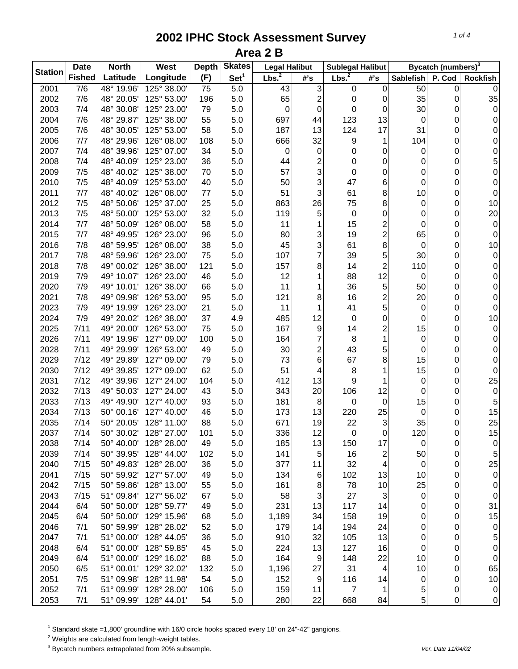| <b>Station</b> | <b>Date</b>   | <b>North</b> | West        | <b>Depth</b> | <b>Skates</b>    | <b>Legal Halibut</b> |                  | <b>Sublegal Halibut</b> |                |             | Bycatch (numbers) <sup>3</sup> |                 |
|----------------|---------------|--------------|-------------|--------------|------------------|----------------------|------------------|-------------------------|----------------|-------------|--------------------------------|-----------------|
|                | <b>Fished</b> | Latitude     | Longitude   | (F)          | Set <sup>1</sup> | Lbs. <sup>2</sup>    | $#$ 's           | Lbs. <sup>2</sup>       | #'s            | Sablefish   | P. Cod                         | <b>Rockfish</b> |
| 2001           | 7/6           | 48° 19.96'   | 125° 38.00' | 75           | 5.0              | 43                   | 3                | 0                       | 0              | 50          | 0                              | $\mathbf 0$     |
| 2002           | 7/6           | 48° 20.05'   | 125° 53.00' | 196          | 5.0              | 65                   | 2                | 0                       | 0              | 35          | 0                              | 35              |
| 2003           | 7/4           | 48° 30.08'   | 125° 23.00' | 79           | 5.0              | 0                    | 0                | 0                       | 0              | 30          | 0                              | $\pmb{0}$       |
| 2004           | 7/6           | 48° 29.87'   | 125° 38.00' | 55           | 5.0              | 697                  | 44               | 123                     | 13             | 0           | 0                              | $\pmb{0}$       |
| 2005           | 7/6           | 48° 30.05'   | 125° 53.00' | 58           | 5.0              | 187                  | 13               | 124                     | 17             | 31          | 0                              | 0               |
| 2006           | 7/7           | 48° 29.96'   | 126° 08.00' | 108          | 5.0              | 666                  | 32               | 9                       | 1              | 104         | 0                              | 0               |
| 2007           | 7/4           | 48° 39.96'   | 125° 07.00' | 34           | 5.0              | 0                    | $\boldsymbol{0}$ | 0                       | 0              | 0           | 0                              | 0               |
| 2008           | 7/4           | 48° 40.09'   | 125° 23.00' | 36           | 5.0              | 44                   | 2                | 0                       | 0              | 0           | 0                              | 5               |
| 2009           | 7/5           | 48° 40.02'   | 125° 38.00' | 70           | 5.0              | 57                   | 3                | 0                       | 0              | 0           | 0                              | 0               |
| 2010           | 7/5           | 48° 40.09'   | 125° 53.00' | 40           | 5.0              | 50                   | 3                | 47                      | 6              | 0           | 0                              | 0               |
| 2011           | 7/7           | 48° 40.02'   | 126° 08.00' | 77           | 5.0              | 51                   | 3                | 61                      | 8              | 10          | 0                              | 0               |
| 2012           | 7/5           | 48° 50.06'   | 125° 37.00' | 25           | 5.0              | 863                  | 26               | 75                      | 8              | 0           | 0                              | 10              |
| 2013           | 7/5           | 48° 50.00'   | 125° 53.00' | 32           | 5.0              | 119                  | 5                | $\mathbf 0$             | 0              | 0           | 0                              | 20              |
| 2014           | 7/7           | 48° 50.09'   | 126° 08.00' | 58           | 5.0              | 11                   | 1                | 15                      | 2              | 0           | 0                              | $\pmb{0}$       |
| 2015           | 7/7           | 48° 49.95'   | 126° 23.00' | 96           | 5.0              | 80                   | 3                | 19                      | 2              | 65          | 0                              | 0               |
| 2016           | 7/8           | 48° 59.95'   | 126° 08.00' | 38           | 5.0              | 45                   | 3                | 61                      | 8              | $\mathbf 0$ | 0                              | 10              |
| 2017           | 7/8           | 48° 59.96'   | 126° 23.00' | 75           | 5.0              | 107                  | 7                | 39                      | 5              | 30          | 0                              | $\pmb{0}$       |
| 2018           | 7/8           | 49° 00.02'   | 126° 38.00' | 121          | 5.0              | 157                  | 8                | 14                      | 2              | 110         | 0                              | 0               |
| 2019           | 7/9           | 49° 10.07'   | 126° 23.00' | 46           | 5.0              | 12                   | 1                | 88                      | 12             | 0           | 0                              | 0               |
| 2020           | 7/9           | 49° 10.01'   | 126° 38.00' | 66           | 5.0              | 11                   | 1                | 36                      | 5              | 50          | 0                              | $\pmb{0}$       |
| 2021           | 7/8           | 49° 09.98'   | 126° 53.00' | 95           | 5.0              | 121                  | 8                | 16                      | 2              | 20          | 0                              | $\pmb{0}$       |
| 2023           | 7/9           | 49° 19.99'   | 126° 23.00' | 21           | 5.0              | 11                   | 1                | 41                      | 5              | 0           | 0                              | $\pmb{0}$       |
| 2024           | 7/9           | 49° 20.02'   | 126° 38.00' | 37           | 4.9              | 485                  | 12               | $\mathbf 0$             | 0              | 0           | 0                              | 10              |
| 2025           | 7/11          | 49° 20.00'   | 126° 53.00' | 75           | 5.0              | 167                  | 9                | 14                      | 2              | 15          | 0                              | $\pmb{0}$       |
| 2026           | 7/11          | 49° 19.96'   | 127° 09.00' | 100          | 5.0              | 164                  | 7                | 8                       | 1              | 0           | 0                              | 0               |
| 2028           | 7/11          | 49° 29.99'   | 126° 53.00' | 49           | 5.0              | 30                   | 2                | 43                      | 5              | 0           | 0                              | 0               |
| 2029           | 7/12          | 49° 29.89'   | 127° 09.00' | 79           | 5.0              | 73                   | 6                | 67                      | 8              | 15          | 0                              | 0               |
| 2030           | 7/12          | 49° 39.85'   | 127° 09.00' | 62           | 5.0              | 51                   | 4                | 8                       | 1              | 15          | 0                              | 0               |
| 2031           | 7/12          | 49° 39.96'   | 127° 24.00' | 104          | 5.0              | 412                  | 13               | 9                       | 1              | 0           | 0                              | 25              |
| 2032           | 7/13          | 49° 50.03'   | 127° 24.00' | 43           | 5.0              | 343                  | 20               | 106                     | 12             | 0           | 0                              | 0               |
| 2033           | 7/13          | 49° 49.90'   | 127° 40.00' | 93           | 5.0              | 181                  | 8                | 0                       | 0              | 15          | 0                              | 5               |
| 2034           | 7/13          | 50° 00.16'   | 127° 40.00' | 46           | 5.0              | 173                  | 13               | 220                     | 25             | 0           | 0                              | 15              |
| 2035           | 7/14          | 50° 20.05'   | 128° 11.00' | 88           | 5.0              | 671                  | 19               | 22                      | 3              | 35          | 0                              | 25              |
| 2037           | 7/14          | 50° 30.02'   | 128° 27.00' | 101          | 5.0              | 336                  | 12               | 0                       | 0              | 120         | 0                              | 15              |
| 2038           | 7/14          | 50° 40.00'   | 128° 28.00' | 49           | 5.0              | 185                  | 13               | 150                     | 17             | 0           | 0                              | $\overline{0}$  |
| 2039           | 7/14          | 50° 39.95'   | 128° 44.00' | 102          | 5.0              | 141                  | 5                | 16                      | 2              | 50          | 0                              | 5               |
| 2040           | 7/15          | 50° 49.83'   | 128° 28.00' | 36           | 5.0              | 377                  | 11               | 32                      | $\overline{4}$ | 0           | 0                              | 25              |
| 2041           | 7/15          | 50° 59.92'   | 127° 57.00' | 49           | 5.0              | 134                  | 6                | 102                     | 13             | 10          | 0                              | $\overline{0}$  |
| 2042           | 7/15          | 50° 59.86'   | 128° 13.00' | 55           | 5.0              | 161                  | 8                | 78                      | 10             | 25          | 0                              | $\overline{0}$  |
| 2043           | 7/15          | 51° 09.84'   | 127° 56.02' | 67           | 5.0              | 58                   | $\sqrt{3}$       | 27                      | 3              | $\mathbf 0$ | 0                              | $\overline{0}$  |
| 2044           | 6/4           | 50° 50.00'   | 128° 59.77' | 49           | 5.0              | 231                  | 13               | 117                     | 14             | 0           | 0                              | 31              |
| 2045           | 6/4           | 50° 50.00'   | 129° 15.96' | 68           | 5.0              | 1,189                | 34               | 158                     | 19             | 0           | 0                              | 15              |
| 2046           | 7/1           | 50° 59.99'   | 128° 28.02' | 52           | 5.0              | 179                  | 14               | 194                     | 24             | $\mathbf 0$ | 0                              | 0               |
| 2047           | 7/1           | 51° 00.00'   | 128° 44.05' | 36           | 5.0              | 910                  | 32               | 105                     | 13             | 0           | 0                              | 5               |
| 2048           | 6/4           | 51° 00.00'   | 128° 59.85' | 45           | 5.0              | 224                  | 13               | 127                     | 16             | 0           | 0                              | 0               |
| 2049           | 6/4           | 51° 00.00'   | 129° 16.02' | 88           | 5.0              | 164                  | 9                | 148                     | 22             | 10          | 0                              | $\pmb{0}$       |
| 2050           | 6/5           | 51° 00.01'   | 129° 32.02' | 132          | 5.0              | 1,196                | 27               | 31                      | 4              | 10          | 0                              | 65              |
| 2051           | 7/5           | 51° 09.98'   | 128° 11.98' | 54           | 5.0              | 152                  | 9                | 116                     | 14             | 0           | 0                              | 10              |
| 2052           | 7/1           | 51° 09.99'   | 128° 28.00' | 106          | 5.0              | 159                  | 11               | 7                       | 1              | 5           | 0                              | $\overline{0}$  |
| 2053           | 7/1           | 51° 09.99'   | 128° 44.01' | 54           | 5.0              | 280                  | 22               | 668                     | 84             | 5           | 0                              | $\overline{0}$  |

<sup>1</sup> Standard skate =1,800' groundline with 16/0 circle hooks spaced every 18' on 24"-42" gangions.

 $2$  Weights are calculated from length-weight tables.

<sup>3</sup> Bycatch numbers extrapolated from 20% subsample. We also a strategies and the vertext of the 11/04/02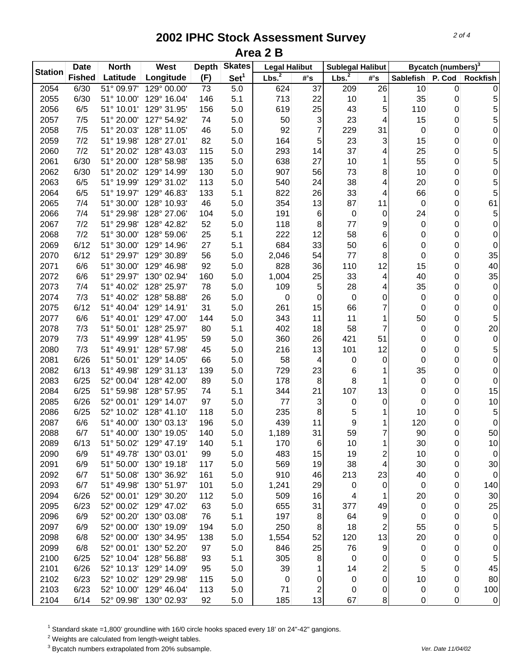| <b>Station</b><br>Lbs. <sup>2</sup><br>Lbs. <sup>2</sup><br><b>Fished</b><br>Latitude<br>Longitude<br>(F)<br>Set <sup>1</sup><br>$\#^{\circ} \mathsf{s}$<br>#'s<br><b>Sablefish</b><br>P. Cod<br>$\frac{1}{51^{\circ}}$ 09.97'<br>2054<br>6/30<br>129° 00.00'<br>73<br>5.0<br>624<br>37<br>209<br>26<br>10<br>$\pmb{0}$<br>713<br>35<br>2055<br>6/30<br>51° 10.00'<br>129° 16.04'<br>146<br>5.1<br>22<br>10<br>1<br>0<br>6/5<br>2056<br>51° 10.01'<br>129° 31.95'<br>156<br>619<br>25<br>43<br>110<br>5.0<br>5<br>0<br>3<br>23<br>15<br>2057<br>7/5<br>51° 20.00'<br>127° 54.92'<br>74<br>50<br>0<br>5.0<br>4<br>7<br>2058<br>7/5<br>51° 20.03'<br>128° 11.05'<br>46<br>5.0<br>92<br>229<br>31<br>0<br>0<br>7/2<br>15<br>2059<br>51° 19.98'<br>128° 27.01'<br>82<br>5.0<br>164<br>5<br>23<br>3<br>0<br>7/2<br>37<br>25<br>2060<br>51° 20.02'<br>128° 43.03'<br>115<br>5.0<br>293<br>14<br>0<br>4<br>638<br>27<br>55<br>0<br>2061<br>6/30<br>51° 20.00'<br>128° 58.98'<br>135<br>5.0<br>10<br>1<br>907<br>8<br>0<br>2062<br>6/30<br>51° 20.02'<br>129° 14.99'<br>130<br>5.0<br>56<br>73<br>10<br>38<br>2063<br>6/5<br>51° 19.99'<br>129° 31.02'<br>113<br>5.0<br>540<br>24<br>4<br>20<br>0<br>33<br>2064<br>6/5<br>51° 19.97'<br>129° 46.83'<br>133<br>5.1<br>822<br>26<br>66<br>0<br>4<br>87<br>2065<br>7/4<br>51° 30.00<br>128° 10.93'<br>46<br>5.0<br>354<br>13<br>11<br>$\mathbf 0$<br>0<br>2066<br>7/4<br>51° 29.98'<br>128° 27.06'<br>191<br>6<br>$\mathbf 0$<br>24<br>0<br>104<br>5.0<br>0 | Bycatch (numbers) <sup>3</sup> |
|--------------------------------------------------------------------------------------------------------------------------------------------------------------------------------------------------------------------------------------------------------------------------------------------------------------------------------------------------------------------------------------------------------------------------------------------------------------------------------------------------------------------------------------------------------------------------------------------------------------------------------------------------------------------------------------------------------------------------------------------------------------------------------------------------------------------------------------------------------------------------------------------------------------------------------------------------------------------------------------------------------------------------------------------------------------------------------------------------------------------------------------------------------------------------------------------------------------------------------------------------------------------------------------------------------------------------------------------------------------------------------------------------------------------------------------------------------------------------------------------------|--------------------------------|
|                                                                                                                                                                                                                                                                                                                                                                                                                                                                                                                                                                                                                                                                                                                                                                                                                                                                                                                                                                                                                                                                                                                                                                                                                                                                                                                                                                                                                                                                                                  | <b>Rockfish</b>                |
|                                                                                                                                                                                                                                                                                                                                                                                                                                                                                                                                                                                                                                                                                                                                                                                                                                                                                                                                                                                                                                                                                                                                                                                                                                                                                                                                                                                                                                                                                                  | 0                              |
|                                                                                                                                                                                                                                                                                                                                                                                                                                                                                                                                                                                                                                                                                                                                                                                                                                                                                                                                                                                                                                                                                                                                                                                                                                                                                                                                                                                                                                                                                                  | 5                              |
|                                                                                                                                                                                                                                                                                                                                                                                                                                                                                                                                                                                                                                                                                                                                                                                                                                                                                                                                                                                                                                                                                                                                                                                                                                                                                                                                                                                                                                                                                                  | 5                              |
|                                                                                                                                                                                                                                                                                                                                                                                                                                                                                                                                                                                                                                                                                                                                                                                                                                                                                                                                                                                                                                                                                                                                                                                                                                                                                                                                                                                                                                                                                                  | 5                              |
|                                                                                                                                                                                                                                                                                                                                                                                                                                                                                                                                                                                                                                                                                                                                                                                                                                                                                                                                                                                                                                                                                                                                                                                                                                                                                                                                                                                                                                                                                                  | $\pmb{0}$                      |
|                                                                                                                                                                                                                                                                                                                                                                                                                                                                                                                                                                                                                                                                                                                                                                                                                                                                                                                                                                                                                                                                                                                                                                                                                                                                                                                                                                                                                                                                                                  | $\pmb{0}$                      |
|                                                                                                                                                                                                                                                                                                                                                                                                                                                                                                                                                                                                                                                                                                                                                                                                                                                                                                                                                                                                                                                                                                                                                                                                                                                                                                                                                                                                                                                                                                  | 5                              |
|                                                                                                                                                                                                                                                                                                                                                                                                                                                                                                                                                                                                                                                                                                                                                                                                                                                                                                                                                                                                                                                                                                                                                                                                                                                                                                                                                                                                                                                                                                  | 5                              |
|                                                                                                                                                                                                                                                                                                                                                                                                                                                                                                                                                                                                                                                                                                                                                                                                                                                                                                                                                                                                                                                                                                                                                                                                                                                                                                                                                                                                                                                                                                  | $\mathsf{O}\xspace$            |
|                                                                                                                                                                                                                                                                                                                                                                                                                                                                                                                                                                                                                                                                                                                                                                                                                                                                                                                                                                                                                                                                                                                                                                                                                                                                                                                                                                                                                                                                                                  | 5                              |
|                                                                                                                                                                                                                                                                                                                                                                                                                                                                                                                                                                                                                                                                                                                                                                                                                                                                                                                                                                                                                                                                                                                                                                                                                                                                                                                                                                                                                                                                                                  | 5                              |
|                                                                                                                                                                                                                                                                                                                                                                                                                                                                                                                                                                                                                                                                                                                                                                                                                                                                                                                                                                                                                                                                                                                                                                                                                                                                                                                                                                                                                                                                                                  | 61                             |
|                                                                                                                                                                                                                                                                                                                                                                                                                                                                                                                                                                                                                                                                                                                                                                                                                                                                                                                                                                                                                                                                                                                                                                                                                                                                                                                                                                                                                                                                                                  | 5                              |
| 2067<br>7/2<br>51° 29.98'<br>128° 42.82'<br>52<br>118<br>8<br>77<br>9<br>0<br>5.0<br>0                                                                                                                                                                                                                                                                                                                                                                                                                                                                                                                                                                                                                                                                                                                                                                                                                                                                                                                                                                                                                                                                                                                                                                                                                                                                                                                                                                                                           | $\mathbf 0$                    |
| 7/2<br>222<br>12<br>58<br>2068<br>51° 30.00'<br>128° 59.06'<br>25<br>5.1<br>6<br>0<br>0                                                                                                                                                                                                                                                                                                                                                                                                                                                                                                                                                                                                                                                                                                                                                                                                                                                                                                                                                                                                                                                                                                                                                                                                                                                                                                                                                                                                          | 0                              |
| 6/12<br>33<br>50<br>0<br>2069<br>51° 30.00'<br>129° 14.96'<br>27<br>5.1<br>684<br>6<br>0                                                                                                                                                                                                                                                                                                                                                                                                                                                                                                                                                                                                                                                                                                                                                                                                                                                                                                                                                                                                                                                                                                                                                                                                                                                                                                                                                                                                         | 0                              |
| 8<br>2070<br>6/12<br>51° 29.97'<br>129° 30.89'<br>56<br>5.0<br>77<br>0<br>0<br>2,046<br>54                                                                                                                                                                                                                                                                                                                                                                                                                                                                                                                                                                                                                                                                                                                                                                                                                                                                                                                                                                                                                                                                                                                                                                                                                                                                                                                                                                                                       | 35                             |
| 12<br>15<br>2071<br>6/6<br>51° 30.00'<br>129° 46.98'<br>92<br>5.0<br>828<br>110<br>0<br>36                                                                                                                                                                                                                                                                                                                                                                                                                                                                                                                                                                                                                                                                                                                                                                                                                                                                                                                                                                                                                                                                                                                                                                                                                                                                                                                                                                                                       | 40                             |
| 33<br>40<br>2072<br>6/6<br>51° 29.97'<br>130° 02.94'<br>160<br>1,004<br>25<br>5.0<br>4<br>0                                                                                                                                                                                                                                                                                                                                                                                                                                                                                                                                                                                                                                                                                                                                                                                                                                                                                                                                                                                                                                                                                                                                                                                                                                                                                                                                                                                                      | 35                             |
| 128° 25.97'<br>28<br>35<br>2073<br>7/4<br>51° 40.02'<br>78<br>109<br>5.0<br>5<br>0<br>4                                                                                                                                                                                                                                                                                                                                                                                                                                                                                                                                                                                                                                                                                                                                                                                                                                                                                                                                                                                                                                                                                                                                                                                                                                                                                                                                                                                                          | $\pmb{0}$                      |
| 7/3<br>2074<br>51° 40.02'<br>128° 58.88'<br>26<br>5.0<br>$\pmb{0}$<br>0<br>$\pmb{0}$<br>0<br>0<br>0                                                                                                                                                                                                                                                                                                                                                                                                                                                                                                                                                                                                                                                                                                                                                                                                                                                                                                                                                                                                                                                                                                                                                                                                                                                                                                                                                                                              | $\pmb{0}$                      |
| 31<br>66<br>7<br>2075<br>6/12<br>51° 40.04'<br>129° 14.91'<br>5.0<br>261<br>15<br>0<br>0                                                                                                                                                                                                                                                                                                                                                                                                                                                                                                                                                                                                                                                                                                                                                                                                                                                                                                                                                                                                                                                                                                                                                                                                                                                                                                                                                                                                         | $\pmb{0}$                      |
| 343<br>11<br>50<br>2077<br>6/6<br>51° 40.01'<br>129° 47.00'<br>5.0<br>11<br>0<br>144<br>1                                                                                                                                                                                                                                                                                                                                                                                                                                                                                                                                                                                                                                                                                                                                                                                                                                                                                                                                                                                                                                                                                                                                                                                                                                                                                                                                                                                                        | 5                              |
| 402<br>18<br>58<br>7<br>2078<br>7/3<br>51° 50.01'<br>128° 25.97'<br>80<br>5.1<br>0<br>0                                                                                                                                                                                                                                                                                                                                                                                                                                                                                                                                                                                                                                                                                                                                                                                                                                                                                                                                                                                                                                                                                                                                                                                                                                                                                                                                                                                                          | 20                             |
| 26<br>51<br>2079<br>7/3<br>51° 49.99'<br>128° 41.95'<br>59<br>5.0<br>360<br>421<br>0<br>0                                                                                                                                                                                                                                                                                                                                                                                                                                                                                                                                                                                                                                                                                                                                                                                                                                                                                                                                                                                                                                                                                                                                                                                                                                                                                                                                                                                                        | $\pmb{0}$                      |
| 2080<br>7/3<br>51° 49.91'<br>128° 57.98'<br>45<br>5.0<br>216<br>13<br>101<br>12<br>0<br>0                                                                                                                                                                                                                                                                                                                                                                                                                                                                                                                                                                                                                                                                                                                                                                                                                                                                                                                                                                                                                                                                                                                                                                                                                                                                                                                                                                                                        | 5                              |
| 2081<br>6/26<br>51° 50.01'<br>129° 14.05'<br>66<br>5.0<br>58<br>0<br>0<br>0<br>0<br>4                                                                                                                                                                                                                                                                                                                                                                                                                                                                                                                                                                                                                                                                                                                                                                                                                                                                                                                                                                                                                                                                                                                                                                                                                                                                                                                                                                                                            | $\mathsf{O}\xspace$            |
| 35<br>23<br>2082<br>6/13<br>51° 49.98'<br>129° 31.13'<br>729<br>6<br>0<br>139<br>5.0                                                                                                                                                                                                                                                                                                                                                                                                                                                                                                                                                                                                                                                                                                                                                                                                                                                                                                                                                                                                                                                                                                                                                                                                                                                                                                                                                                                                             | 0                              |
| 8<br>2083<br>128° 42.00'<br>178<br>8<br>0<br>6/25<br>52° 00.04'<br>89<br>5.0<br>0<br>1                                                                                                                                                                                                                                                                                                                                                                                                                                                                                                                                                                                                                                                                                                                                                                                                                                                                                                                                                                                                                                                                                                                                                                                                                                                                                                                                                                                                           | 0                              |
| 107<br>13<br>2084<br>6/25<br>51° 59.98'<br>128° 57.95'<br>344<br>21<br>0<br>74<br>5.1<br>0                                                                                                                                                                                                                                                                                                                                                                                                                                                                                                                                                                                                                                                                                                                                                                                                                                                                                                                                                                                                                                                                                                                                                                                                                                                                                                                                                                                                       | 15                             |
| 2085<br>6/26<br>52° 00.01'<br>129° 14.07'<br>77<br>3<br>0<br>97<br>5.0<br>0<br>0<br>0                                                                                                                                                                                                                                                                                                                                                                                                                                                                                                                                                                                                                                                                                                                                                                                                                                                                                                                                                                                                                                                                                                                                                                                                                                                                                                                                                                                                            | 10                             |
| 8<br>5<br>2086<br>6/25<br>52° 10.02'<br>128° 41.10'<br>235<br>10<br>0<br>118<br>5.0                                                                                                                                                                                                                                                                                                                                                                                                                                                                                                                                                                                                                                                                                                                                                                                                                                                                                                                                                                                                                                                                                                                                                                                                                                                                                                                                                                                                              | 5                              |
| 9<br>2087<br>6/6<br>51° 40.00'<br>130° 03.13'<br>439<br>120<br>0<br>196<br>5.0<br>11                                                                                                                                                                                                                                                                                                                                                                                                                                                                                                                                                                                                                                                                                                                                                                                                                                                                                                                                                                                                                                                                                                                                                                                                                                                                                                                                                                                                             | 0                              |
| 7<br>2088<br>59<br>6/7<br>130° 19.05'<br>140<br>5.0<br>1,189<br>31<br>90<br>0<br>51° 40.00'                                                                                                                                                                                                                                                                                                                                                                                                                                                                                                                                                                                                                                                                                                                                                                                                                                                                                                                                                                                                                                                                                                                                                                                                                                                                                                                                                                                                      | 50                             |
| 2089<br>51° 50.02'<br>6/13<br>129° 47.19'<br>140<br>5.1<br>170<br>10<br>30<br>0<br>6<br>1                                                                                                                                                                                                                                                                                                                                                                                                                                                                                                                                                                                                                                                                                                                                                                                                                                                                                                                                                                                                                                                                                                                                                                                                                                                                                                                                                                                                        | 10                             |
| 2090<br>6/9<br>51° 49.78'<br>130° 03.01'<br>99<br>5.0<br>483<br>15<br>19<br>$\overline{\mathbf{c}}$<br>10<br>0                                                                                                                                                                                                                                                                                                                                                                                                                                                                                                                                                                                                                                                                                                                                                                                                                                                                                                                                                                                                                                                                                                                                                                                                                                                                                                                                                                                   | $\overline{0}$                 |
| 38<br>2091<br>6/9<br>51° 50.00'<br>130° 19.18'<br>569<br>19<br>30<br>117<br>5.0<br>$\overline{4}$<br>0                                                                                                                                                                                                                                                                                                                                                                                                                                                                                                                                                                                                                                                                                                                                                                                                                                                                                                                                                                                                                                                                                                                                                                                                                                                                                                                                                                                           | 30                             |
| 2092<br>6/7<br>51° 50.08'<br>130° 36.92'<br>5.0<br>910<br>213<br>23<br>161<br>46<br>40<br>0                                                                                                                                                                                                                                                                                                                                                                                                                                                                                                                                                                                                                                                                                                                                                                                                                                                                                                                                                                                                                                                                                                                                                                                                                                                                                                                                                                                                      | $\overline{0}$                 |
| 2093<br>6/7<br>51° 49.98'<br>130° 51.97'<br>5.0<br>1,241<br>29<br>0<br>101<br>0<br>0<br>0                                                                                                                                                                                                                                                                                                                                                                                                                                                                                                                                                                                                                                                                                                                                                                                                                                                                                                                                                                                                                                                                                                                                                                                                                                                                                                                                                                                                        | 140                            |
| 2094<br>6/26<br>52° 00.01'<br>129° 30.20'<br>112<br>5.0<br>509<br>16<br>1<br>20<br>4<br>0                                                                                                                                                                                                                                                                                                                                                                                                                                                                                                                                                                                                                                                                                                                                                                                                                                                                                                                                                                                                                                                                                                                                                                                                                                                                                                                                                                                                        | 30                             |
| 2095<br>6/23<br>52° 00.02'<br>129° 47.02'<br>63<br>5.0<br>655<br>31<br>377<br>49<br>0<br>0                                                                                                                                                                                                                                                                                                                                                                                                                                                                                                                                                                                                                                                                                                                                                                                                                                                                                                                                                                                                                                                                                                                                                                                                                                                                                                                                                                                                       | 25                             |
| 197<br>2096<br>6/9<br>52° 00.20'<br>130° 03.08'<br>76<br>5.1<br>64<br>9<br>0<br>8<br>0                                                                                                                                                                                                                                                                                                                                                                                                                                                                                                                                                                                                                                                                                                                                                                                                                                                                                                                                                                                                                                                                                                                                                                                                                                                                                                                                                                                                           | $\pmb{0}$                      |
| 18<br>$\overline{\mathbf{c}}$<br>2097<br>6/9<br>52° 00.00'<br>130° 19.09'<br>5.0<br>250<br>8<br>55<br>0<br>194                                                                                                                                                                                                                                                                                                                                                                                                                                                                                                                                                                                                                                                                                                                                                                                                                                                                                                                                                                                                                                                                                                                                                                                                                                                                                                                                                                                   | 5                              |
| 13<br>20<br>2098<br>52° 00.00'<br>130° 34.95'<br>52<br>120<br>6/8<br>138<br>5.0<br>1,554<br>0                                                                                                                                                                                                                                                                                                                                                                                                                                                                                                                                                                                                                                                                                                                                                                                                                                                                                                                                                                                                                                                                                                                                                                                                                                                                                                                                                                                                    | 0                              |
| 9<br>2099<br>6/8<br>52° 00.01'<br>130° 52.20'<br>76<br>97<br>5.0<br>846<br>25<br>0<br>0                                                                                                                                                                                                                                                                                                                                                                                                                                                                                                                                                                                                                                                                                                                                                                                                                                                                                                                                                                                                                                                                                                                                                                                                                                                                                                                                                                                                          | 0                              |
| 2100<br>52° 10.04'<br>305<br>8<br>6/25<br>128° 56.88'<br>93<br>5.1<br>0<br>0<br>0<br>0                                                                                                                                                                                                                                                                                                                                                                                                                                                                                                                                                                                                                                                                                                                                                                                                                                                                                                                                                                                                                                                                                                                                                                                                                                                                                                                                                                                                           | 5                              |
| $\overline{\mathbf{c}}$<br>2101<br>6/26<br>52° 10.13'<br>5<br>0<br>129° 14.09'<br>95<br>5.0<br>39<br>1<br>14                                                                                                                                                                                                                                                                                                                                                                                                                                                                                                                                                                                                                                                                                                                                                                                                                                                                                                                                                                                                                                                                                                                                                                                                                                                                                                                                                                                     | 45                             |
| 0<br>2102<br>6/23<br>52° 10.02'<br>$\mathbf 0$<br>10<br>129° 29.98'<br>5.0<br>0<br>0<br>115<br>0                                                                                                                                                                                                                                                                                                                                                                                                                                                                                                                                                                                                                                                                                                                                                                                                                                                                                                                                                                                                                                                                                                                                                                                                                                                                                                                                                                                                 | 80                             |
| $\overline{\mathbf{c}}$<br>2103<br>6/23<br>52° 10.00'<br>129° 46.04'<br>$\mathbf 0$<br>0<br>$\pmb{0}$<br>113<br>5.0<br>71<br>0                                                                                                                                                                                                                                                                                                                                                                                                                                                                                                                                                                                                                                                                                                                                                                                                                                                                                                                                                                                                                                                                                                                                                                                                                                                                                                                                                                   | 100                            |
| 13<br>67<br>$\bf 8$<br>0<br>2104<br>6/14<br>52° 09.98'<br>130° 02.93'<br>92<br>$\mathbf 0$<br>5.0<br>185                                                                                                                                                                                                                                                                                                                                                                                                                                                                                                                                                                                                                                                                                                                                                                                                                                                                                                                                                                                                                                                                                                                                                                                                                                                                                                                                                                                         | $\overline{0}$                 |

<sup>1</sup> Standard skate =1,800' groundline with 16/0 circle hooks spaced every 18' on 24"-42" gangions.

 $2$  Weights are calculated from length-weight tables.

<sup>3</sup> Bycatch numbers extrapolated from 20% subsample. We also a strategies and the vertext of the 11/04/02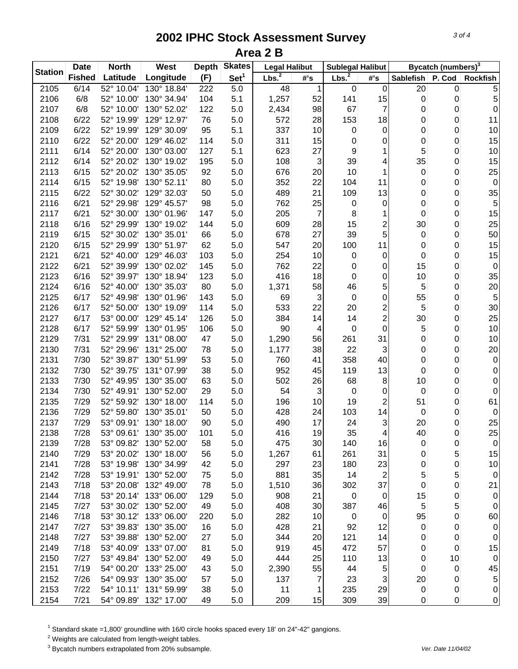| <b>Station</b> | <b>Date</b>   | <b>North</b>             | West        | <b>Depth</b> | <b>Skates</b>    | <b>Legal Halibut</b> |        | <b>Sublegal Halibut</b> |                  |           | Bycatch (numbers) <sup>3</sup> |                  |
|----------------|---------------|--------------------------|-------------|--------------|------------------|----------------------|--------|-------------------------|------------------|-----------|--------------------------------|------------------|
|                | <b>Fished</b> | Latitude                 | Longitude   | (F)          | Set <sup>1</sup> | Lbs. <sup>2</sup>    | $#$ 's | Lbs. <sup>2</sup>       | #'s              | Sablefish | P. Cod                         | <b>Rockfish</b>  |
| 2105           | 6/14          | $\overline{52}$ ° 10.04' | 130° 18.84' | 222          | 5.0              | 48                   | 1      | 0                       | 0                | 20        | 0                              | 5                |
| 2106           | 6/8           | 52° 10.00'               | 130° 34.94' | 104          | 5.1              | 1,257                | 52     | 141                     | 15               | 0         | 0                              | 5                |
| 2107           | 6/8           | 52° 10.00'               | 130° 52.02' | 122          | 5.0              | 2,434                | 98     | 67                      | $\overline{7}$   | 0         | 0                              | $\boldsymbol{0}$ |
| 2108           | 6/22          | 52° 19.99'               | 129° 12.97' | 76           | 5.0              | 572                  | 28     | 153                     | 18               | 0         | 0                              | 11               |
| 2109           | 6/22          | 52° 19.99'               | 129° 30.09' | 95           | 5.1              | 337                  | 10     | 0                       | $\pmb{0}$        | 0         | 0                              | 10               |
| 2110           | 6/22          | 52° 20.00'               | 129° 46.02' | 114          | 5.0              | 311                  | 15     | 0                       | 0                | 0         | 0                              | 15               |
| 2111           | 6/14          | 52° 20.00'               | 130° 03.00' | 127          | 5.1              | 623                  | 27     | 9                       |                  | 5         | 0                              | 10               |
| 2112           | 6/14          | 52° 20.02'               | 130° 19.02' | 195          | 5.0              | 108                  | 3      | 39                      | 4                | 35        | 0                              | 15               |
| 2113           | 6/15          | 52° 20.02'               | 130° 35.05' | 92           | 5.0              | 676                  | 20     | 10                      |                  | 0         | 0                              | 25               |
| 2114           | 6/15          | 52° 19.98'               | 130° 52.11' | 80           | 5.0              | 352                  | 22     | 104                     | 11               | 0         | 0                              | $\pmb{0}$        |
| 2115           | 6/22          | 52° 30.02'               | 129° 32.03' | 50           | 5.0              | 489                  | 21     | 109                     | 13               | 0         | 0                              | 35               |
| 2116           | 6/21          | 52° 29.98'               | 129° 45.57' | 98           | 5.0              | 762                  | 25     | 0                       | 0                | 0         | 0                              | 5                |
| 2117           | 6/21          | 52° 30.00'               | 130° 01.96' | 147          | 5.0              | 205                  | 7      | 8                       |                  | 0         | 0                              | 15               |
| 2118           | 6/16          | 52° 29.99'               | 130° 19.02' | 144          | 5.0              | 609                  | 28     | 15                      | 2                | 30        | 0                              | 25               |
| 2119           | 6/15          | 52° 30.02'               | 130° 35.01' | 66           | 5.0              | 678                  | 27     | 39                      | 5                | 0         | 0                              | 50               |
| 2120           | 6/15          | 52° 29.99'               | 130° 51.97' | 62           | 5.0              | 547                  | 20     | 100                     | 11               | 0         | 0                              | 15               |
| 2121           | 6/21          | 52° 40.00'               | 129° 46.03' | 103          | 5.0              | 254                  | 10     | 0                       | 0                | 0         | 0                              | 15               |
| 2122           | 6/21          | 52° 39.99'               | 130° 02.02' | 145          | 5.0              | 762                  | 22     | 0                       | 0                | 15        | 0                              | $\pmb{0}$        |
| 2123           | 6/16          | 52° 39.97'               | 130° 18.94' | 123          | 5.0              | 416                  | 18     | $\mathbf 0$             | 0                | 10        | 0                              | 35               |
| 2124           | 6/16          | 52° 40.00'               | 130° 35.03' | 80           | 5.0              | 1,371                | 58     | 46                      | 5                | 5         | 0                              | 20               |
| 2125           | 6/17          | 52° 49.98'               | 130° 01.96' | 143          | 5.0              | 69                   | 3      | $\boldsymbol{0}$        | 0                | 55        | 0                              | $\overline{5}$   |
| 2126           | 6/17          | 52° 50.00'               | 130° 19.09' | 114          | 5.0              | 533                  | 22     | 20                      | 2                | 5         | 0                              | 30               |
| 2127           | 6/17          | 53° 00.00                | 129° 45.14' | 126          | 5.0              | 384                  | 14     | 14                      | $\overline{c}$   | 30        | 0                              | 25               |
| 2128           | 6/17          | 52° 59.99                | 130° 01.95' | 106          | 5.0              | 90                   | 4      | 0                       | $\boldsymbol{0}$ | 5         | 0                              | $10$             |
| 2129           | 7/31          | 52° 29.99'               | 131° 08.00' | 47           | 5.0              | 1,290                | 56     | 261                     | 31               | 0         | 0                              | 10               |
| 2130           | 7/31          | 52° 29.96'               | 131° 25.00' | 78           | 5.0              | 1,177                | 38     | 22                      | 3                | 0         | 0                              | 20               |
| 2131           | 7/30          | 52° 39.87'               | 130° 51.99' | 53           | 5.0              | 760                  | 41     | 358                     | 40               | 0         | 0                              | $\pmb{0}$        |
| 2132           | 7/30          | 52° 39.75'               | 131° 07.99' | 38           | 5.0              | 952                  | 45     | 119                     | 13               | 0         | 0                              | 0                |
| 2133           | 7/30          | 52° 49.95'               | 130° 35.00' | 63           | 5.0              | 502                  | 26     | 68                      | 8                | 10        | 0                              | 0                |
| 2134           | 7/30          | 52° 49.91'               | 130° 52.00' | 29           | 5.0              | 54                   | 3      | $\mathbf 0$             | 0                | 0         | 0                              | 0                |
| 2135           | 7/29          | 52° 59.92'               | 130° 18.00' | 114          | 5.0              | 196                  | 10     | 19                      | 2                | 51        | 0                              | 61               |
| 2136           | 7/29          | 52° 59.80'               | 130° 35.01' | 50           | 5.0              | 428                  | 24     | 103                     | 14               | 0         | 0                              | 0                |
| 2137           | 7/29          | 53° 09.91'               | 130° 18.00' | 90           | 5.0              | 490                  | 17     | 24                      | 3                | 20        | 0                              | 25               |
| 2138           | 7/28          | 53° 09.61'               | 130° 35.00' | 101          | 5.0              | 416                  | 19     | 35                      | 4                | 40        | 0                              | 25               |
| 2139           | 7/28          | 53° 09.82'               | 130° 52.00' | 58           | 5.0              | 475                  | 30     | 140                     | 16               | 0         | 0                              | $\pmb{0}$        |
| 2140           | 7/29          | 53° 20.02'               | 130° 18.00' | 56           | 5.0              | 1,267                | 61     | 261                     | 31               | 0         | 5                              | 15               |
| 2141           | 7/28          | 53° 19.98'               | 130° 34.99' | 42           | 5.0              | 297                  | 23     | 180                     | 23               | 0         | 0                              | 10               |
| 2142           | 7/28          | 53° 19.91'               | 130° 52.00' | 75           | 5.0              | 881                  | 35     | 14                      | $\overline{c}$   | 5         | 5                              | $\pmb{0}$        |
| 2143           | 7/18          | 53° 20.08'               | 132° 49.00' | 78           | 5.0              | 1,510                | 36     | 302                     | 37               | 0         | 0                              | 21               |
| 2144           | 7/18          | 53° 20.14'               | 133° 06.00' | 129          | 5.0              | 908                  | 21     | 0                       | $\overline{0}$   | 15        | 0                              | $\pmb{0}$        |
| 2145           | 7/27          | 53° 30.02'               | 130° 52.00' | 49           | 5.0              | 408                  | 30     | 387                     | 46               | 5         | 5                              | 0                |
| 2146           | 7/18          | 53° 30.12'               | 133° 06.00' | 220          | 5.0              | 282                  | 10     | 0                       | $\mathbf 0$      | 95        | 0                              | 60               |
| 2147           | 7/27          | 53° 39.83'               | 130° 35.00' | 16           | 5.0              | 428                  | 21     | 92                      | 12               | 0         | 0                              | 0                |
| 2148           | 7/27          | 53° 39.88'               | 130° 52.00' | 27           | 5.0              | 344                  | 20     | 121                     | 14               | 0         | 0                              | 0                |
| 2149           | 7/18          | 53° 40.09'               | 133° 07.00' | 81           | 5.0              | 919                  | 45     | 472                     | 57               | 0         | 0                              | 15               |
| 2150           | 7/27          | 53° 49.84'               | 130° 52.00' | 49           | 5.0              | 444                  | 25     | 110                     | 13               | 0         | 10                             | 0                |
| 2151           | 7/19          | 54° 00.20'               | 133° 25.00' | 43           | 5.0              | 2,390                | 55     | 44                      | 5                | 0         | 0                              | 45               |
| 2152           | 7/26          | 54° 09.93'               | 130° 35.00' | 57           | 5.0              | 137                  | 7      | 23                      | 3                | 20        | 0                              | 5                |
| 2153           | 7/22          | 54° 10.11'               | 131° 59.99' | 38           | 5.0              | 11                   | 1      | 235                     | 29               | 0         | 0                              | 0                |
| 2154           | 7/21          | 54° 09.89'               | 132° 17.00' | 49           | 5.0              | 209                  | 15     | 309                     | 39               | 0         | 0                              | $\pmb{0}$        |

<sup>1</sup> Standard skate =1,800' groundline with 16/0 circle hooks spaced every 18' on 24"-42" gangions.

 $2$  Weights are calculated from length-weight tables.

<sup>3</sup> Bycatch numbers extrapolated from 20% subsample. We also a strategies and the vertext of the 11/04/02